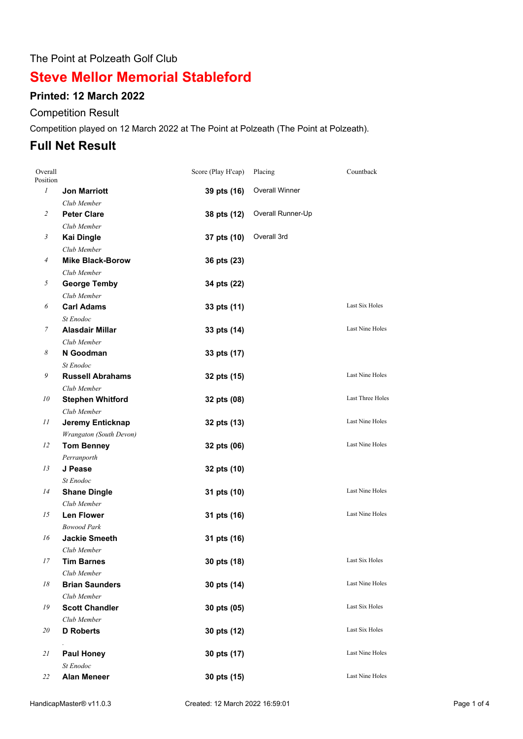#### The Point at Polzeath Golf Club

# **Steve Mellor Memorial Stableford**

### **Printed: 12 March 2022**

#### Competition Result

Competition played on 12 March 2022 at The Point at Polzeath (The Point at Polzeath).

### **Full Net Result**

| Overall<br>Position |                         | Score (Play H'cap) | Placing               | Countback               |
|---------------------|-------------------------|--------------------|-----------------------|-------------------------|
| $\mathfrak{I}$      | <b>Jon Marriott</b>     | 39 pts (16)        | <b>Overall Winner</b> |                         |
|                     | Club Member             |                    |                       |                         |
| 2                   | <b>Peter Clare</b>      | 38 pts (12)        | Overall Runner-Up     |                         |
|                     | Club Member             |                    |                       |                         |
| $\mathfrak{Z}$      | <b>Kai Dingle</b>       | 37 pts (10)        | Overall 3rd           |                         |
|                     | Club Member             |                    |                       |                         |
| $\overline{4}$      | <b>Mike Black-Borow</b> | 36 pts (23)        |                       |                         |
|                     | Club Member             |                    |                       |                         |
| 5                   | <b>George Temby</b>     | 34 pts (22)        |                       |                         |
|                     | Club Member             |                    |                       |                         |
| 6                   | <b>Carl Adams</b>       | 33 pts (11)        |                       | Last Six Holes          |
|                     | St Enodoc               |                    |                       |                         |
| 7                   | <b>Alasdair Millar</b>  | 33 pts (14)        |                       | Last Nine Holes         |
|                     | Club Member             |                    |                       |                         |
| 8                   | N Goodman               | 33 pts (17)        |                       |                         |
|                     | St Enodoc               |                    |                       |                         |
| 9                   | <b>Russell Abrahams</b> | 32 pts (15)        |                       | Last Nine Holes         |
|                     | Club Member             |                    |                       |                         |
| 10                  | <b>Stephen Whitford</b> | 32 pts (08)        |                       | <b>Last Three Holes</b> |
|                     | Club Member             |                    |                       |                         |
| 11                  | Jeremy Enticknap        | 32 pts (13)        |                       | Last Nine Holes         |
|                     | Wrangaton (South Devon) |                    |                       |                         |
| 12                  | <b>Tom Benney</b>       | 32 pts (06)        |                       | Last Nine Holes         |
|                     | Perranporth             |                    |                       |                         |
| 13                  | J Pease                 | 32 pts (10)        |                       |                         |
|                     | St Enodoc               |                    |                       |                         |
| 14                  | <b>Shane Dingle</b>     | 31 pts (10)        |                       | Last Nine Holes         |
|                     | Club Member             |                    |                       |                         |
| 15                  | <b>Len Flower</b>       | 31 pts (16)        |                       | <b>Last Nine Holes</b>  |
|                     | <b>Bowood Park</b>      |                    |                       |                         |
| 16                  | <b>Jackie Smeeth</b>    | 31 pts (16)        |                       |                         |
|                     | Club Member             |                    |                       |                         |
| 17                  | Tim Barnes              | 30 pts (18)        |                       | Last Six Holes          |
|                     | Club Member             |                    |                       |                         |
| 18                  | <b>Brian Saunders</b>   | 30 pts (14)        |                       | Last Nine Holes         |
|                     | Club Member             |                    |                       |                         |
| 19                  | <b>Scott Chandler</b>   | 30 pts (05)        |                       | Last Six Holes          |
|                     | Club Member             |                    |                       |                         |
| 20                  | <b>D</b> Roberts        | 30 pts (12)        |                       | Last Six Holes          |
| 21                  | <b>Paul Honey</b>       | 30 pts (17)        |                       | Last Nine Holes         |
|                     | St Enodoc               |                    |                       |                         |
| 22                  | <b>Alan Meneer</b>      | 30 pts (15)        |                       | Last Nine Holes         |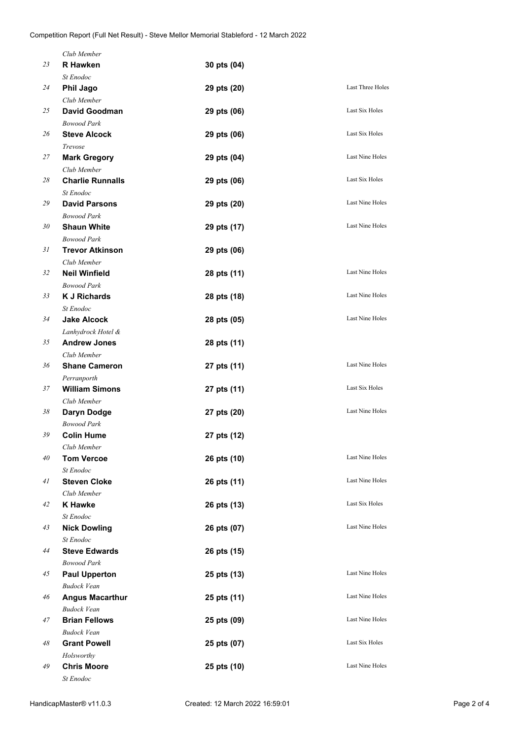|    | Club Member                   |             |                        |
|----|-------------------------------|-------------|------------------------|
| 23 | <b>R</b> Hawken               | 30 pts (04) |                        |
|    | St Enodoc                     |             |                        |
| 24 | <b>Phil Jago</b>              | 29 pts (20) | Last Three Holes       |
|    | Club Member                   |             |                        |
| 25 | <b>David Goodman</b>          | 29 pts (06) | Last Six Holes         |
|    | <b>Bowood Park</b>            |             |                        |
| 26 | <b>Steve Alcock</b>           | 29 pts (06) | Last Six Holes         |
|    | Trevose                       |             |                        |
| 27 | <b>Mark Gregory</b>           | 29 pts (04) | Last Nine Holes        |
|    | Club Member                   |             |                        |
| 28 | <b>Charlie Runnalls</b>       | 29 pts (06) | Last Six Holes         |
|    | St Enodoc                     |             |                        |
| 29 | <b>David Parsons</b>          | 29 pts (20) | Last Nine Holes        |
|    | <b>Bowood Park</b>            |             |                        |
| 30 | <b>Shaun White</b>            | 29 pts (17) | Last Nine Holes        |
|    | <b>Bowood Park</b>            |             |                        |
| 31 | <b>Trevor Atkinson</b>        | 29 pts (06) |                        |
|    | Club Member                   |             |                        |
| 32 | <b>Neil Winfield</b>          | 28 pts (11) | Last Nine Holes        |
|    | <b>Bowood Park</b>            |             |                        |
| 33 | <b>K J Richards</b>           | 28 pts (18) | Last Nine Holes        |
|    | St Enodoc                     |             |                        |
| 34 | <b>Jake Alcock</b>            | 28 pts (05) | Last Nine Holes        |
|    | Lanhydrock Hotel &            |             |                        |
| 35 | <b>Andrew Jones</b>           | 28 pts (11) |                        |
|    | Club Member                   |             |                        |
| 36 | <b>Shane Cameron</b>          | 27 pts (11) | Last Nine Holes        |
|    | Perranporth                   |             |                        |
| 37 | <b>William Simons</b>         | 27 pts (11) | Last Six Holes         |
|    | Club Member                   |             |                        |
| 38 | Daryn Dodge                   | 27 pts (20) | <b>Last Nine Holes</b> |
|    | <b>Bowood Park</b>            |             |                        |
| 39 | <b>Colin Hume</b>             |             |                        |
|    | Club Member                   | 27 pts (12) |                        |
| 40 | <b>Tom Vercoe</b>             | 26 pts (10) | Last Nine Holes        |
|    | St Enodoc                     |             |                        |
| 41 | <b>Steven Cloke</b>           |             | Last Nine Holes        |
|    |                               | 26 pts (11) |                        |
| 42 | Club Member<br><b>K</b> Hawke | 26 pts (13) | Last Six Holes         |
|    | St Enodoc                     |             |                        |
| 43 | <b>Nick Dowling</b>           |             | <b>Last Nine Holes</b> |
|    | St Enodoc                     | 26 pts (07) |                        |
| 44 | <b>Steve Edwards</b>          |             |                        |
|    |                               | 26 pts (15) |                        |
|    | <b>Bowood Park</b>            |             | Last Nine Holes        |
| 45 | <b>Paul Upperton</b>          | 25 pts (13) |                        |
|    | <b>Budock Vean</b>            |             | Last Nine Holes        |
| 46 | <b>Angus Macarthur</b>        | 25 pts (11) |                        |
|    | <b>Budock Vean</b>            |             | Last Nine Holes        |
| 47 | <b>Brian Fellows</b>          | 25 pts (09) |                        |
|    | <b>Budock Vean</b>            |             |                        |
| 48 | <b>Grant Powell</b>           | 25 pts (07) | Last Six Holes         |
|    | Holsworthy                    |             |                        |
| 49 | <b>Chris Moore</b>            | 25 pts (10) | Last Nine Holes        |
|    | St Enodoc                     |             |                        |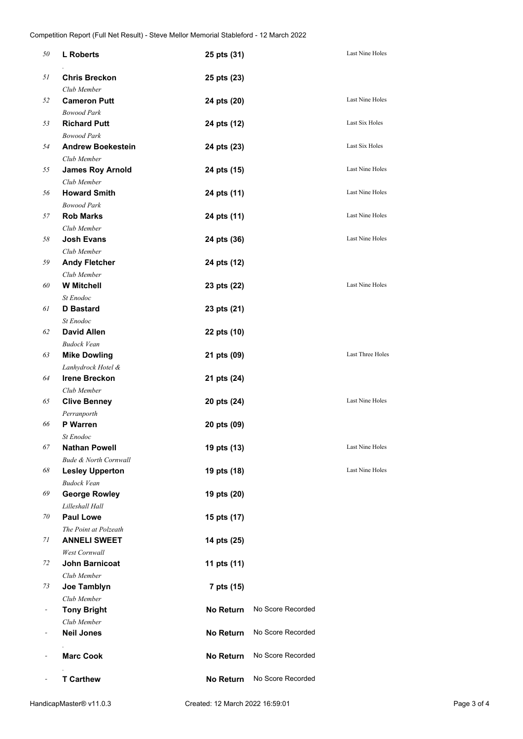| 50 | <b>L</b> Roberts                 | 25 pts (31)      |                   | Last Nine Holes  |
|----|----------------------------------|------------------|-------------------|------------------|
| 51 | <b>Chris Breckon</b>             | 25 pts (23)      |                   |                  |
|    | Club Member                      |                  |                   |                  |
| 52 | <b>Cameron Putt</b>              | 24 pts (20)      |                   | Last Nine Holes  |
|    | <b>Bowood Park</b>               |                  |                   |                  |
| 53 | <b>Richard Putt</b>              | 24 pts (12)      |                   | Last Six Holes   |
|    | <b>Bowood Park</b>               |                  |                   |                  |
| 54 | <b>Andrew Boekestein</b>         | 24 pts (23)      |                   | Last Six Holes   |
|    | Club Member                      |                  |                   |                  |
| 55 | <b>James Roy Arnold</b>          | 24 pts (15)      |                   | Last Nine Holes  |
|    | Club Member                      |                  |                   |                  |
| 56 | <b>Howard Smith</b>              | 24 pts (11)      |                   | Last Nine Holes  |
|    | <b>Bowood Park</b>               |                  |                   |                  |
| 57 | <b>Rob Marks</b>                 | 24 pts (11)      |                   | Last Nine Holes  |
|    | Club Member                      |                  |                   |                  |
| 58 | <b>Josh Evans</b>                | 24 pts (36)      |                   | Last Nine Holes  |
|    | Club Member                      |                  |                   |                  |
| 59 | <b>Andy Fletcher</b>             | 24 pts (12)      |                   |                  |
|    | Club Member                      |                  |                   |                  |
| 60 | <b>W</b> Mitchell                | 23 pts (22)      |                   | Last Nine Holes  |
|    | St Enodoc                        |                  |                   |                  |
| 61 | <b>D</b> Bastard                 | 23 pts (21)      |                   |                  |
|    | St Enodoc                        |                  |                   |                  |
| 62 | <b>David Allen</b>               | 22 pts (10)      |                   |                  |
|    | <b>Budock Vean</b>               |                  |                   |                  |
| 63 | <b>Mike Dowling</b>              | 21 pts (09)      |                   | Last Three Holes |
|    | Lanhydrock Hotel &               |                  |                   |                  |
| 64 | <b>Irene Breckon</b>             | 21 pts (24)      |                   |                  |
|    | Club Member                      |                  |                   |                  |
| 65 | <b>Clive Benney</b>              | 20 pts (24)      |                   | Last Nine Holes  |
|    | Perranporth                      |                  |                   |                  |
| 66 | <b>P</b> Warren                  | 20 pts (09)      |                   |                  |
|    | St Enodoc                        |                  |                   |                  |
| 67 | <b>Nathan Powell</b>             | 19 pts (13)      |                   | Last Nine Holes  |
|    | <b>Bude &amp; North Cornwall</b> |                  |                   |                  |
| 68 | <b>Lesley Upperton</b>           | 19 pts (18)      |                   | Last Nine Holes  |
|    | <b>Budock Vean</b>               |                  |                   |                  |
| 69 | <b>George Rowley</b>             | 19 pts (20)      |                   |                  |
|    | Lilleshall Hall                  |                  |                   |                  |
| 70 | <b>Paul Lowe</b>                 | 15 pts (17)      |                   |                  |
|    | The Point at Polzeath            |                  |                   |                  |
| 71 | <b>ANNELI SWEET</b>              | 14 pts (25)      |                   |                  |
|    | West Cornwall                    |                  |                   |                  |
| 72 | <b>John Barnicoat</b>            | 11 pts (11)      |                   |                  |
|    | Club Member                      |                  |                   |                  |
| 73 | Joe Tamblyn                      | 7 pts (15)       |                   |                  |
|    | Club Member                      |                  |                   |                  |
|    | <b>Tony Bright</b>               | <b>No Return</b> | No Score Recorded |                  |
|    | Club Member                      |                  |                   |                  |
|    | <b>Neil Jones</b>                | <b>No Return</b> | No Score Recorded |                  |
|    |                                  |                  |                   |                  |
|    | <b>Marc Cook</b>                 | No Return        | No Score Recorded |                  |
|    |                                  |                  |                   |                  |
|    | <b>T Carthew</b>                 | No Return        | No Score Recorded |                  |
|    |                                  |                  |                   |                  |